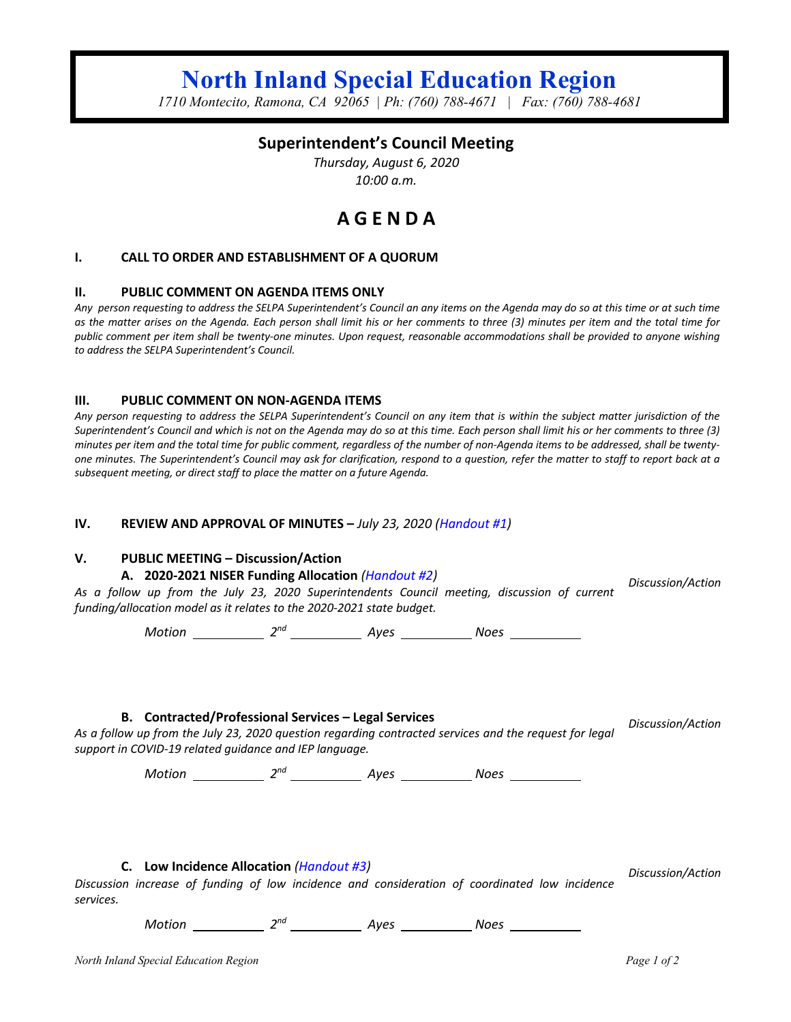# **North Inland Special Education Region**

*1710 Montecito, Ramona, CA 92065 | Ph: (760) 788-4671 | Fax: (760) 788-4681*

# **Superintendent's Council Meeting**

*Thursday, August 6, 2020 10:00 a.m.*

# **A G E N D A**

#### **I. CALL TO ORDER AND ESTABLISHMENT OF A QUORUM**

#### **II. PUBLIC COMMENT ON AGENDA ITEMS ONLY**

*Any person requesting to address the SELPA Superintendent's Council an any items on the Agenda may do so at this time or at such time as the matter arises on the Agenda. Each person shall limit his or her comments to three (3) minutes per item and the total time for public comment per item shall be twenty-one minutes. Upon request, reasonable accommodations shall be provided to anyone wishing to address the SELPA Superintendent's Council.*

#### **III. PUBLIC COMMENT ON NON-AGENDA ITEMS**

*Any person requesting to address the SELPA Superintendent's Council on any item that is within the subject matter jurisdiction of the Superintendent's Council and which is not on the Agenda may do so at this time. Each person shall limit his or her comments to three (3) minutes per item and the total time for public comment, regardless of the number of non-Agenda items to be addressed, shall be twentyone minutes. The Superintendent's Council may ask for clarification, respond to a question, refer the matter to staff to report back at a subsequent meeting, or direct staff to place the matter on a future Agenda.*

#### **IV. REVIEW AND APPROVAL OF MINUTES –** *July 23, 2020 (Handout #1)*

#### **V. PUBLIC MEETING – Discussion/Action**

#### **A. 2020-2021 NISER Funding Allocation** *(Handout #2)*

*As a follow up from the July 23, 2020 Superintendents Council meeting, discussion of current funding/allocation model as it relates to the 2020-2021 state budget. Discussion/Action*

*Motion 2nd Ayes Noes* 

**B. Contracted/Professional Services – Legal Services**

*Discussion/Action*

*As a follow up from the July 23, 2020 question regarding contracted services and the request for legal support in COVID-19 related guidance and IEP language.* 

*Motion* 2<sup>nd</sup> 2<sup>nd</sup> Ayes Noes Noes

**C. Low Incidence Allocation** *(Handout #3)*

*Discussion/Action*

*Discussion increase of funding of low incidence and consideration of coordinated low incidence services.* 

*Motion* 2<sup>nd</sup> 2<sup>nd</sup> Ayes Noes Noes